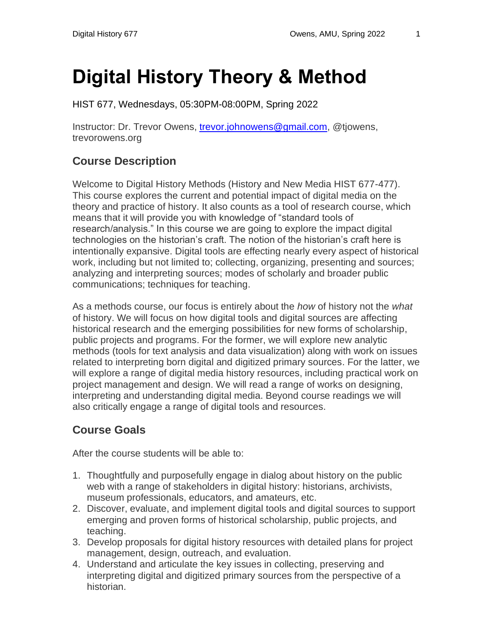# **Digital History Theory & Method**

HIST 677, Wednesdays, 05:30PM-08:00PM, Spring 2022

Instructor: Dr. Trevor Owens, [trevor.johnowens@gmail.com,](mailto:trevor.johnowens@gmail.com) @tjowens, trevorowens.org

### **Course Description**

Welcome to Digital History Methods (History and New Media HIST 677-477). This course explores the current and potential impact of digital media on the theory and practice of history. It also counts as a tool of research course, which means that it will provide you with knowledge of "standard tools of research/analysis." In this course we are going to explore the impact digital technologies on the historian's craft. The notion of the historian's craft here is intentionally expansive. Digital tools are effecting nearly every aspect of historical work, including but not limited to; collecting, organizing, presenting and sources; analyzing and interpreting sources; modes of scholarly and broader public communications; techniques for teaching.

As a methods course, our focus is entirely about the *how* of history not the *what*  of history. We will focus on how digital tools and digital sources are affecting historical research and the emerging possibilities for new forms of scholarship, public projects and programs. For the former, we will explore new analytic methods (tools for text analysis and data visualization) along with work on issues related to interpreting born digital and digitized primary sources. For the latter, we will explore a range of digital media history resources, including practical work on project management and design. We will read a range of works on designing, interpreting and understanding digital media. Beyond course readings we will also critically engage a range of digital tools and resources.

#### **Course Goals**

After the course students will be able to:

- 1. Thoughtfully and purposefully engage in dialog about history on the public web with a range of stakeholders in digital history: historians, archivists, museum professionals, educators, and amateurs, etc.
- 2. Discover, evaluate, and implement digital tools and digital sources to support emerging and proven forms of historical scholarship, public projects, and teaching.
- 3. Develop proposals for digital history resources with detailed plans for project management, design, outreach, and evaluation.
- 4. Understand and articulate the key issues in collecting, preserving and interpreting digital and digitized primary sources from the perspective of a historian.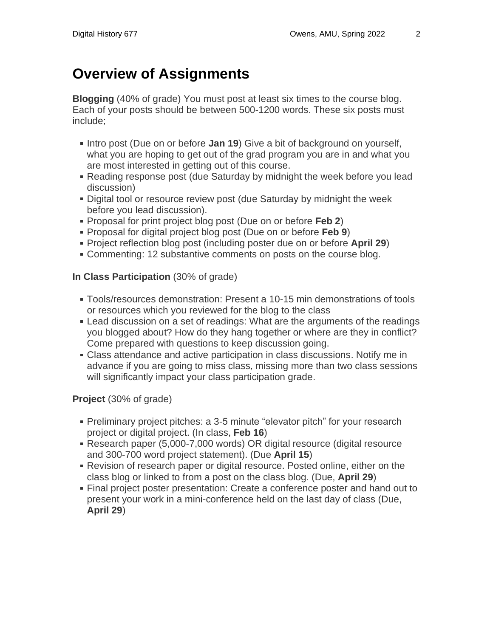# **Overview of Assignments**

**Blogging** (40% of grade) You must post at least six times to the course blog. Each of your posts should be between 500-1200 words. These six posts must include;

- Intro post (Due on or before **Jan 19**) Give a bit of background on yourself, what you are hoping to get out of the grad program you are in and what you are most interested in getting out of this course.
- Reading response post (due Saturday by midnight the week before you lead discussion)
- Digital tool or resource review post (due Saturday by midnight the week before you lead discussion).
- Proposal for print project blog post (Due on or before **Feb 2**)
- Proposal for digital project blog post (Due on or before **Feb 9**)
- Project reflection blog post (including poster due on or before **April 29**)
- Commenting: 12 substantive comments on posts on the course blog.

#### **In Class Participation** (30% of grade)

- Tools/resources demonstration: Present a 10-15 min demonstrations of tools or resources which you reviewed for the blog to the class
- Lead discussion on a set of readings: What are the arguments of the readings you blogged about? How do they hang together or where are they in conflict? Come prepared with questions to keep discussion going.
- Class attendance and active participation in class discussions. Notify me in advance if you are going to miss class, missing more than two class sessions will significantly impact your class participation grade.

#### **Project** (30% of grade)

- Preliminary project pitches: a 3-5 minute "elevator pitch" for your research project or digital project. (In class, **Feb 16**)
- Research paper (5,000-7,000 words) OR digital resource (digital resource and 300-700 word project statement). (Due **April 15**)
- Revision of research paper or digital resource. Posted online, either on the class blog or linked to from a post on the class blog. (Due, **April 29**)
- Final project poster presentation: Create a conference poster and hand out to present your work in a mini-conference held on the last day of class (Due, **April 29**)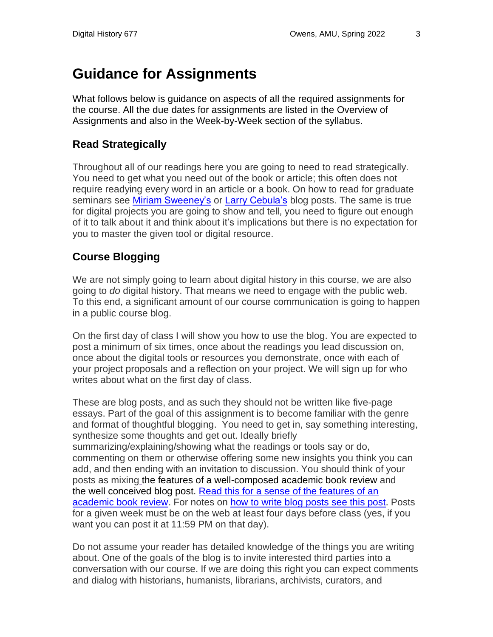# **Guidance for Assignments**

What follows below is guidance on aspects of all the required assignments for the course. All the due dates for assignments are listed in the Overview of Assignments and also in the Week-by-Week section of the syllabus.

#### **Read Strategically**

Throughout all of our readings here you are going to need to read strategically. You need to get what you need out of the book or article; this often does not require readying every word in an article or a book. On how to read for graduate seminars see Miriam [Sweeney's](https://miriamsweeney.net/2012/06/20/readforgradschool/) or Larry [Cebula's](http://northwesthistory.blogspot.com/2010/04/how-to-read-book-in-one-hour.html) blog posts. The same is true for digital projects you are going to show and tell, you need to figure out enough of it to talk about it and think about it's implications but there is no expectation for you to master the given tool or digital resource.

#### **Course Blogging**

We are not simply going to learn about digital history in this course, we are also going to *do* digital history. That means we need to engage with the public web. To this end, a significant amount of our course communication is going to happen in a public course blog.

On the first day of class I will show you how to use the blog. You are expected to post a minimum of six times, once about the readings you lead discussion on, once about the digital tools or resources you demonstrate, once with each of your project proposals and a reflection on your project. We will sign up for who writes about what on the first day of class.

These are blog posts, and as such they should not be written like five-page essays. Part of the goal of this assignment is to become familiar with the genre and format of thoughtful blogging. You need to get in, say something interesting, synthesize some thoughts and get out. Ideally briefly summarizing/explaining/showing what the readings or tools say or do, commenting on them or otherwise offering some new insights you think you can add, and then ending with an invitation to discussion. You should think of your posts as mixing the features of a well-composed academic book review and the well conceived blog post. Read this for a sense of the features of an [academic book review.](http://historyprofessor.org/reading/how-to-write-a-review/) For notes on [how to write blog posts](http://www.quicksprout.com/2009/07/21/how-to-write-a-blog-post/) see this post. Posts for a given week must be on the web at least four days before class (yes, if you want you can post it at 11:59 PM on that day).

Do not assume your reader has detailed knowledge of the things you are writing about. One of the goals of the blog is to invite interested third parties into a conversation with our course. If we are doing this right you can expect comments and dialog with historians, humanists, librarians, archivists, curators, and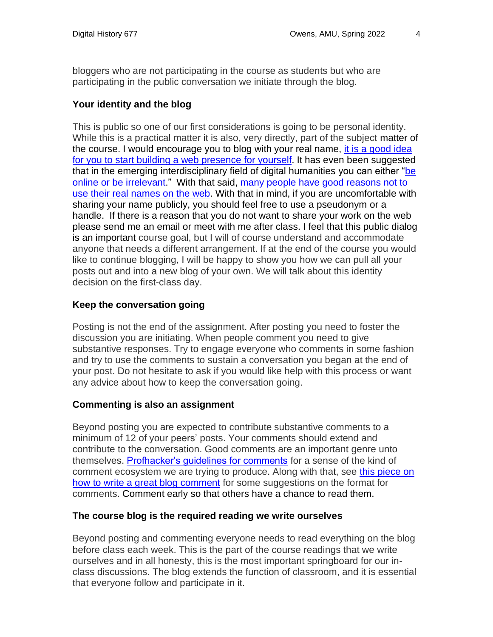bloggers who are not participating in the course as students but who are participating in the public conversation we initiate through the blog.

#### **Your identity and the blog**

This is public so one of our first considerations is going to be personal identity. While this is a practical matter it is also, very directly, part of the subject matter of the course. I would encourage you to blog with your real name, it is a [good](http://www.foundhistory.org/2009/02/26/brand-name-scholar/) idea for you to start building a web [presence](http://www.foundhistory.org/2009/02/26/brand-name-scholar/) for yourself. It has even been suggested that in the emerging interdisciplinary field of digital humanities you can either ["be](https://web.archive.org/web/20161114014524/http:/academhack.outsidethetext.com:80/home/2010/be-online-or-be-irrelevant/) online or be [irrelevant.](https://web.archive.org/web/20161114014524/http:/academhack.outsidethetext.com:80/home/2010/be-online-or-be-irrelevant/)" With that said, many people have good [reasons](http://www.zephoria.org/thoughts/archives/2011/08/04/real-names.html) not to use their real [names](http://www.zephoria.org/thoughts/archives/2011/08/04/real-names.html) on the web. With that in mind, if you are uncomfortable with sharing your name publicly, you should feel free to use a pseudonym or a handle. If there is a reason that you do not want to share your work on the web please send me an email or meet with me after class. I feel that this public dialog is an important course goal, but I will of course understand and accommodate anyone that needs a different arrangement. If at the end of the course you would like to continue blogging, I will be happy to show you how we can pull all your posts out and into a new blog of your own. We will talk about this identity decision on the first-class day.

#### **Keep the conversation going**

Posting is not the end of the assignment. After posting you need to foster the discussion you are initiating. When people comment you need to give substantive responses. Try to engage everyone who comments in some fashion and try to use the comments to sustain a conversation you began at the end of your post. Do not hesitate to ask if you would like help with this process or want any advice about how to keep the conversation going.

#### **Commenting is also an assignment**

Beyond posting you are expected to contribute substantive comments to a minimum of 12 of your peers' posts. Your comments should extend and contribute to the conversation. Good comments are an important genre unto themselves. [Profhacker's guidelines for comments](https://profhacker.com/about/) for a sense of the kind of comment ecosystem we are trying to produce. Along with that, see [this piece on](http://grammar.quickanddirtytips.com/how-to-write-a-blog-comment.aspx)  [how to write a great blog comment](http://grammar.quickanddirtytips.com/how-to-write-a-blog-comment.aspx) for some suggestions on the format for comments. Comment early so that others have a chance to read them.

#### **The course blog is the required reading we write ourselves**

Beyond posting and commenting everyone needs to read everything on the blog before class each week. This is the part of the course readings that we write ourselves and in all honesty, this is the most important springboard for our inclass discussions. The blog extends the function of classroom, and it is essential that everyone follow and participate in it.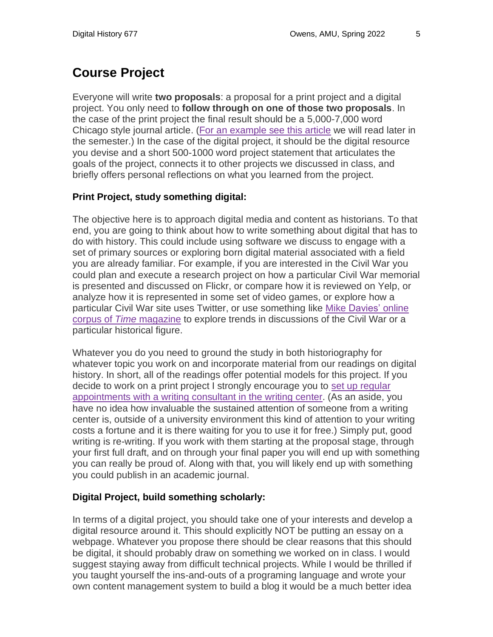# **Course Project**

Everyone will write **two proposals**: a proposal for a print project and a digital project. You only need to **follow through on one of those two proposals**. In the case of the print project the final result should be a 5,000-7,000 word Chicago style journal article. (For an [example](http://victorianresearch.org/googling.pdf) see this article we will read later in the semester.) In the case of the digital project, it should be the digital resource you devise and a short 500-1000 word project statement that articulates the goals of the project, connects it to other projects we discussed in class, and briefly offers personal reflections on what you learned from the project.

#### **Print Project, study something digital:**

The objective here is to approach digital media and content as historians. To that end, you are going to think about how to write something about digital that has to do with history. This could include using software we discuss to engage with a set of primary sources or exploring born digital material associated with a field you are already familiar. For example, if you are interested in the Civil War you could plan and execute a research project on how a particular Civil War memorial is presented and discussed on Flickr, or compare how it is reviewed on Yelp, or analyze how it is represented in some set of video games, or explore how a particular Civil War site uses Twitter, or use something like Mike [Davies'](http://corpus.byu.edu/time/) online corpus of *Time* [magazine](http://corpus.byu.edu/time/) to explore trends in discussions of the Civil War or a particular historical figure.

Whatever you do you need to ground the study in both historiography for whatever topic you work on and incorporate material from our readings on digital history. In short, all of the readings offer potential models for this project. If you decide to work on a print project I strongly encourage you to set up [regular](https://www.american.edu/provost/academic-access/writing-center.cfm) [appointments](https://www.american.edu/provost/academic-access/writing-center.cfm) with a writing consultant in the writing center. (As an aside, you have no idea how invaluable the sustained attention of someone from a writing center is, outside of a university environment this kind of attention to your writing costs a fortune and it is there waiting for you to use it for free.) Simply put, good writing is re-writing. If you work with them starting at the proposal stage, through your first full draft, and on through your final paper you will end up with something you can really be proud of. Along with that, you will likely end up with something you could publish in an academic journal.

#### **Digital Project, build something scholarly:**

In terms of a digital project, you should take one of your interests and develop a digital resource around it. This should explicitly NOT be putting an essay on a webpage. Whatever you propose there should be clear reasons that this should be digital, it should probably draw on something we worked on in class. I would suggest staying away from difficult technical projects. While I would be thrilled if you taught yourself the ins-and-outs of a programing language and wrote your own content management system to build a blog it would be a much better idea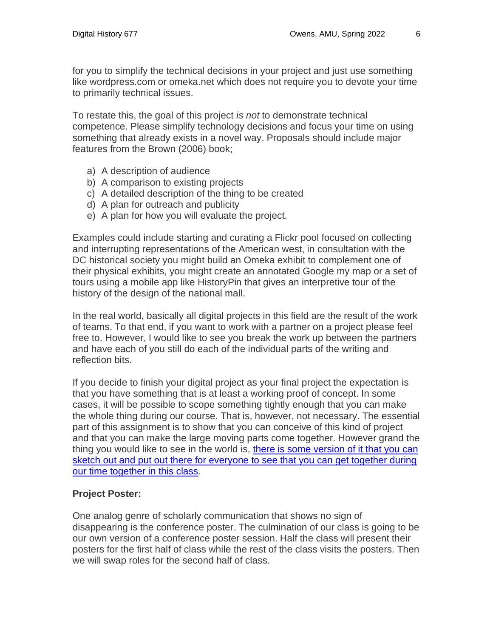for you to simplify the technical decisions in your project and just use something like wordpress.com or omeka.net which does not require you to devote your time to primarily technical issues.

To restate this, the goal of this project *is not* to demonstrate technical competence. Please simplify technology decisions and focus your time on using something that already exists in a novel way. Proposals should include major features from the Brown (2006) book;

- a) A description of audience
- b) A comparison to existing projects
- c) A detailed description of the thing to be created
- d) A plan for outreach and publicity
- e) A plan for how you will evaluate the project.

Examples could include starting and curating a Flickr pool focused on collecting and interrupting representations of the American west, in consultation with the DC historical society you might build an Omeka exhibit to complement one of their physical exhibits, you might create an annotated Google my map or a set of tours using a mobile app like HistoryPin that gives an interpretive tour of the history of the design of the national mall.

In the real world, basically all digital projects in this field are the result of the work of teams. To that end, if you want to work with a partner on a project please feel free to. However, I would like to see you break the work up between the partners and have each of you still do each of the individual parts of the writing and reflection bits.

If you decide to finish your digital project as your final project the expectation is that you have something that is at least a working proof of concept. In some cases, it will be possible to scope something tightly enough that you can make the whole thing during our course. That is, however, not necessary. The essential part of this assignment is to show that you can conceive of this kind of project and that you can make the large moving parts come together. However grand the thing you would like to see in the world is, [there is some version of it that you can](http://www.trevorowens.org/2011/07/the-digital-humanities-as-the-diy-humanities/)  [sketch out and put out there for everyone to see that you can get together during](http://www.trevorowens.org/2011/07/the-digital-humanities-as-the-diy-humanities/)  [our time together in this class.](http://www.trevorowens.org/2011/07/the-digital-humanities-as-the-diy-humanities/)

#### **Project Poster:**

One analog genre of scholarly communication that shows no sign of disappearing is the conference poster. The culmination of our class is going to be our own version of a conference poster session. Half the class will present their posters for the first half of class while the rest of the class visits the posters. Then we will swap roles for the second half of class.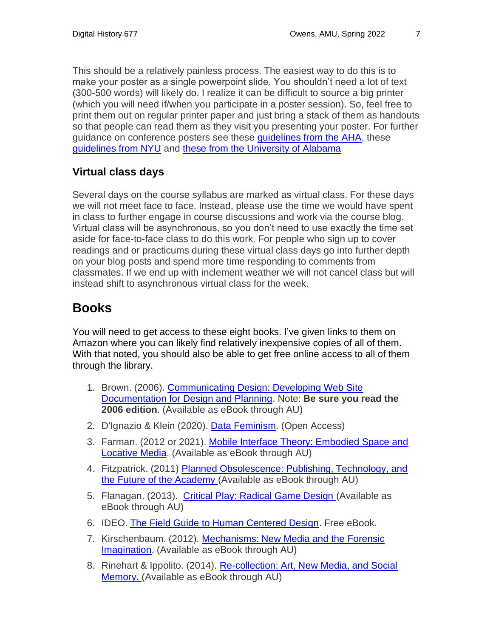This should be a relatively painless process. The easiest way to do this is to make your poster as a single powerpoint slide. You shouldn't need a lot of text (300-500 words) will likely do. I realize it can be difficult to source a big printer (which you will need if/when you participate in a poster session). So, feel free to print them out on regular printer paper and just bring a stack of them as handouts so that people can read them as they visit you presenting your poster. For further guidance on conference posters see these quidelines from the AHA, these [guidelines from NYU](https://guides.nyu.edu/c.php?g=276826&p=1846154) and [these from the University of Alabama](http://undergraduateresearch.as.ua.edu/presenting-your-work/making-posters/)

#### **Virtual class days**

Several days on the course syllabus are marked as virtual class. For these days we will not meet face to face. Instead, please use the time we would have spent in class to further engage in course discussions and work via the course blog. Virtual class will be asynchronous, so you don't need to use exactly the time set aside for face-to-face class to do this work. For people who sign up to cover readings and or practicums during these virtual class days go into further depth on your blog posts and spend more time responding to comments from classmates. If we end up with inclement weather we will not cancel class but will instead shift to asynchronous virtual class for the week.

# **Books**

You will need to get access to these eight books. I've given links to them on Amazon where you can likely find relatively inexpensive copies of all of them. With that noted, you should also be able to get free online access to all of them through the library.

- 1. Brown. (2006). [Communicating Design: Developing Web Site](http://www.amazon.com/Communicating-Design-Developing-Documentation-Planning/dp/0321392353)  [Documentation for Design and Planning.](http://www.amazon.com/Communicating-Design-Developing-Documentation-Planning/dp/0321392353) Note: **Be sure you read the 2006 edition**. (Available as eBook through AU)
- 2. D'Ignazio & Klein (2020). [Data Feminism.](https://data-feminism.mitpress.mit.edu/) (Open Access)
- 3. Farman. (2012 or 2021). Mobile Interface Theory: Embodied Space and [Locative Media.](http://www.amazon.com/Mobile-Interface-Theory-Embodied-Locative/dp/0415878918) (Available as eBook through AU)
- 4. Fitzpatrick. (2011) [Planned Obsolescence: Publishing, Technology, and](https://www.amazon.com/Planned-Obsolescence-Publishing-Technology-Academy/dp/0814727883/ref=sr_1_1?ie=UTF8&qid=1512919226&sr=8-1&keywords=planned+obsolescence)  [the Future of the Academy](https://www.amazon.com/Planned-Obsolescence-Publishing-Technology-Academy/dp/0814727883/ref=sr_1_1?ie=UTF8&qid=1512919226&sr=8-1&keywords=planned+obsolescence) (Available as eBook through AU)
- 5. Flanagan. (2013). [Critical Play: Radical Game Design](https://www.amazon.com/Critical-Play-Radical-Design-Press/dp/0262518651) (Available as eBook through AU)
- 6. IDEO. [The Field Guide to Human Centered Design.](https://www.designkit.org/resources/1) Free eBook.
- 7. Kirschenbaum. (2012). [Mechanisms: New Media and the Forensic](https://www.amazon.com/Mechanisms-Media-Forensic-Imagination-Press/dp/026251740X)  [Imagination.](https://www.amazon.com/Mechanisms-Media-Forensic-Imagination-Press/dp/026251740X) (Available as eBook through AU)
- 8. Rinehart & Ippolito. (2014). [Re-collection: Art, New Media, and Social](http://www.amazon.com/Re-collection-Media-Social-Memory-Leonardo/dp/0262027003)  [Memory.](http://www.amazon.com/Re-collection-Media-Social-Memory-Leonardo/dp/0262027003) (Available as eBook through AU)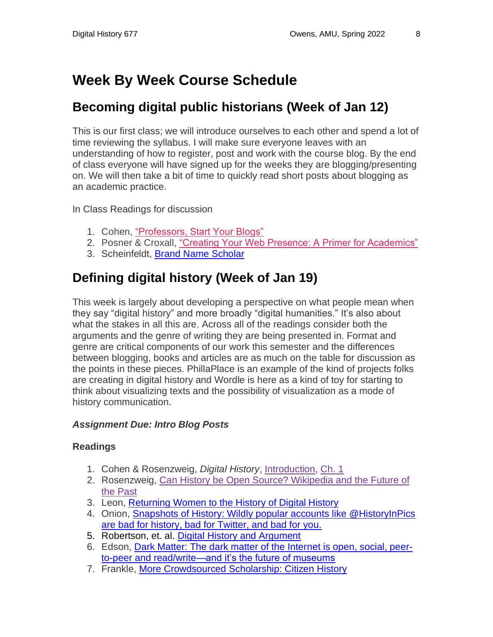# **Week By Week Course Schedule**

### **Becoming digital public historians (Week of Jan 12)**

This is our first class; we will introduce ourselves to each other and spend a lot of time reviewing the syllabus. I will make sure everyone leaves with an understanding of how to register, post and work with the course blog. By the end of class everyone will have signed up for the weeks they are blogging/presenting on. We will then take a bit of time to quickly read short posts about blogging as an academic practice.

In Class Readings for discussion

- 1. Cohen, ["Professors, Start Your Blogs"](http://www.dancohen.org/2006/08/21/professors-start-your-blogs/)
- 2. Posner & Croxall, ["Creating Your Web Presence: A Primer for Academics"](https://www.chronicle.com/blogs/profhacker/creating-your-web-presence-a-primer-for-academics/30458)
- 3. Scheinfeldt, [Brand Name Scholar](http://foundhistory.org/digital-humanities/brand-name-scholar/)

## **Defining digital history (Week of Jan 19)**

This week is largely about developing a perspective on what people mean when they say "digital history" and more broadly "digital humanities." It's also about what the stakes in all this are. Across all of the readings consider both the arguments and the genre of writing they are being presented in. Format and genre are critical components of our work this semester and the differences between blogging, books and articles are as much on the table for discussion as the points in these pieces. PhillaPlace is an example of the kind of projects folks are creating in digital history and Wordle is here as a kind of toy for starting to think about visualizing texts and the possibility of visualization as a mode of history communication.

#### *Assignment Due: Intro Blog Posts*

#### **Readings**

- 1. Cohen & Rosenzweig, *Digital History*, [Introduction,](http://chnm.gmu.edu/digitalhistory/introduction/) [Ch.](http://chnm.gmu.edu/digitalhistory/exploring/) 1
- 2. Rosenzweig, Can History be Open Source? [Wikipedia](https://web.archive.org/web/20090430201444/http:/chnm.gmu.edu:80/resources/essays/d/42) and the Future of the [Past](https://web.archive.org/web/20090430201444/http:/chnm.gmu.edu:80/resources/essays/d/42)
- 3. Leon, [Returning Women to the History of Digital History](https://www.6floors.org/bracket/2016/03/07/returning-women-to-the-history-of-digital-history/)
- 4. Onion, [Snapshots of History: Wildly popular accounts like @HistoryInPics](http://www.slate.com/articles/life/history/2014/02/_historyinpics_historicalpics_history_pics_why_the_wildly_popular_twitter.html)  [are bad for history, bad for Twitter, and bad for you.](http://www.slate.com/articles/life/history/2014/02/_historyinpics_historicalpics_history_pics_why_the_wildly_popular_twitter.html)
- 5. Robertson, et. al. [Digital History and Argument](https://rrchnm.org/argument-white-paper/)
- 6. Edson, [Dark Matter: The dark matter of the Internet is open, social, peer](https://medium.com/@mpedson/dark-matter-a6c7430d84d1)[to-peer and read/write—and it's the future of museums](https://medium.com/@mpedson/dark-matter-a6c7430d84d1)
- 7. Frankle, More [Crowdsourced](http://futureofmuseums.blogspot.com/2011/07/more-crowdsourced-scholarship-citizen.html) Scholarship: Citizen History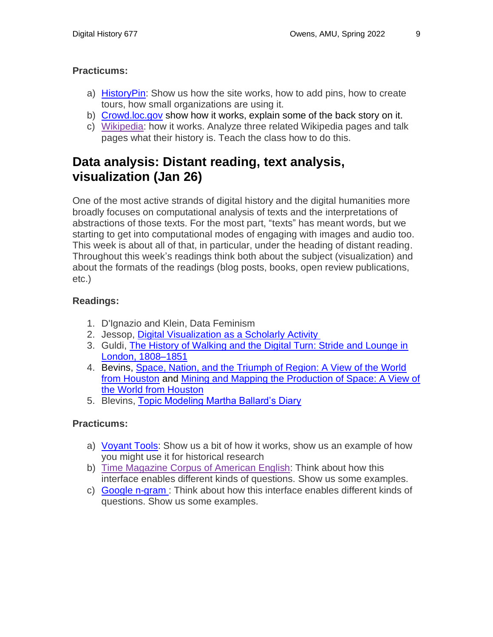#### **Practicums:**

- a) [HistoryPin:](https://www.historypin.org/en/) Show us how the site works, how to add pins, how to create tours, how small organizations are using it.
- b) [Crowd.loc.gov](https://crowd.loc.gov/) show how it works, explain some of the back story on it.
- c) [Wikipedia:](http://www.wikipedia.org/) how it works. Analyze three related Wikipedia pages and talk pages what their history is. Teach the class how to do this.

### **Data analysis: Distant reading, text analysis, visualization (Jan 26)**

One of the most active strands of digital history and the digital humanities more broadly focuses on computational analysis of texts and the interpretations of abstractions of those texts. For the most part, "texts" has meant words, but we starting to get into computational modes of engaging with images and audio too. This week is about all of that, in particular, under the heading of distant reading. Throughout this week's readings think both about the subject (visualization) and about the formats of the readings (blog posts, books, open review publications, etc.)

#### **Readings:**

- 1. D'Ignazio and Klein, Data Feminism
- 2. Jessop, Digital [Visualization](http://llc.oxfordjournals.org/content/23/3/281.abstract) as a Scholarly Activity
- 3. Guldi, [The History of Walking and the Digital Turn: Stride and Lounge in](http://www.journals.uchicago.edu/doi/full/10.1086/663350)  [London, 1808–1851](http://www.journals.uchicago.edu/doi/full/10.1086/663350)
- 4. Bevins, [Space, Nation, and the Triumph of Region: A View of the World](http://cameronblevins.org/downloads/Blevins_SpaceNationAndTheTriumphOfRegion_Color.pdf)  [from Houston](http://cameronblevins.org/downloads/Blevins_SpaceNationAndTheTriumphOfRegion_Color.pdf) and [Mining and Mapping the Production of Space: A View of](http://web.stanford.edu/group/spatialhistory/cgi-bin/site/pub.php?id=93)  [the World from Houston](http://web.stanford.edu/group/spatialhistory/cgi-bin/site/pub.php?id=93)
- 5. Blevins, [Topic Modeling Martha Ballard's Diary](http://www.cameronblevins.org/posts/topic-modeling-martha-ballards-diary/)

#### **Practicums:**

- a) [Voyant](https://voyant-tools.org/) Tools: Show us a bit of how it works, show us an example of how you might use it for historical research
- b) Time [Magazine](http://corpus.byu.edu/time/) Corpus of American English: Think about how this interface enables different kinds of questions. Show us some examples.
- c) [Google](https://books.google.com/ngrams) n-gram : Think about how this interface enables different kinds of questions. Show us some examples.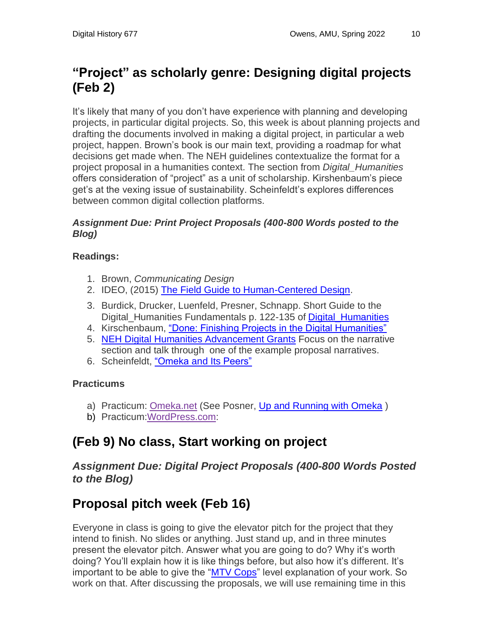# **"Project" as scholarly genre: Designing digital projects (Feb 2)**

It's likely that many of you don't have experience with planning and developing projects, in particular digital projects. So, this week is about planning projects and drafting the documents involved in making a digital project, in particular a web project, happen. Brown's book is our main text, providing a roadmap for what decisions get made when. The NEH guidelines contextualize the format for a project proposal in a humanities context. The section from *Digital\_Humanities*  offers consideration of "project" as a unit of scholarship. Kirshenbaum's piece get's at the vexing issue of sustainability. Scheinfeldt's explores differences between common digital collection platforms.

#### *Assignment Due: Print Project Proposals (400-800 Words posted to the Blog)*

#### **Readings:**

- 1. Brown, *Communicating Design*
- 2. IDEO, (2015) [The Field Guide to Human-Centered Design.](https://www.designkit.org/resources/1)
- 3. Burdick, Drucker, Luenfeld, Presner, Schnapp. Short Guide to the Digital Humanities Fundamentals p. 122-135 of Digital Humanities
- 4. Kirschenbaum, ["Done: Finishing Projects in the Digital Humanities"](http://www.digitalhumanities.org/dhq/vol/3/2/000037/000037.html)
- 5. [NEH Digital Humanities Advancement Grants](https://www.neh.gov/files/grants/digital-humanities-advancement-grants-jan-16-2018-edit.pdf) Focus on the narrative section and talk through one of the example proposal narratives.
- 6. Scheinfeldt, ["Omeka](http://www.foundhistory.org/2010/09/01/omeka-and-its-peers/) and Its Peers"

#### **Practicums**

- a) Practicum: [Omeka.net](http://www.omeka.net/) (See Posner, [Up and Running with Omeka](https://programminghistorian.org/lessons/up-and-running-with-omeka))
- b) Practicum[:WordPress.com:](http://wordpress.com/)

# **(Feb 9) No class, Start working on project**

#### *Assignment Due: Digital Project Proposals (400-800 Words Posted to the Blog)*

# **Proposal pitch week (Feb 16)**

Everyone in class is going to give the elevator pitch for the project that they intend to finish. No slides or anything. Just stand up, and in three minutes present the elevator pitch. Answer what you are going to do? Why it's worth doing? You'll explain how it is like things before, but also how it's different. It's important to be able to give the ["MTV Cops"](http://www.dancohen.org/2010/08/05/thoughts-on-one-week-one-tool/) level explanation of your work. So work on that. After discussing the proposals, we will use remaining time in this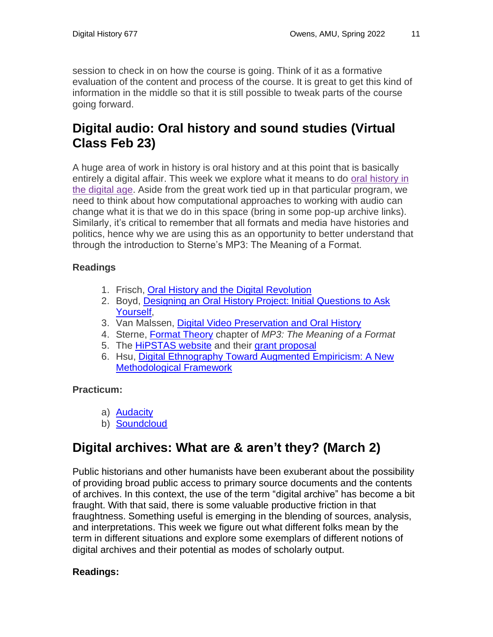session to check in on how the course is going. Think of it as a formative evaluation of the content and process of the course. It is great to get this kind of information in the middle so that it is still possible to tweak parts of the course going forward.

### **Digital audio: Oral history and sound studies (Virtual Class Feb 23)**

A huge area of work in history is oral history and at this point that is basically entirely a digital affair. This week we explore what it means to do oral [history](http://ohda.matrix.msu.edu/) in the [digital](http://ohda.matrix.msu.edu/) age. Aside from the great work tied up in that particular program, we need to think about how computational approaches to working with audio can change what it is that we do in this space (bring in some pop-up archive links). Similarly, it's critical to remember that all formats and media have histories and politics, hence why we are using this as an opportunity to better understand that through the introduction to Sterne's MP3: The Meaning of a Format.

#### **Readings**

- 1. Frisch, Oral History and the Digital [Revolution](http://www.randforce.com/ohreader_draft.pdf)
- 2. Boyd, Designing an Oral History Project: Initial [Questions](http://ohda.matrix.msu.edu/2012/06/designing-an-oral-history-project/) to Ask [Yourself,](http://ohda.matrix.msu.edu/2012/06/designing-an-oral-history-project/)
- 3. Van Malssen, Digital Video [Preservation](http://ohda.matrix.msu.edu/2012/06/digital-video-preservation-and-oral-history/) and Oral History
- 4. Sterne, [Format](http://www.scribd.com/doc/96153131/MP3-by-Jonathan-Sterne) Theory chapter of *MP3: The Meaning of a Format*
- 5. The [HiPSTAS](https://blogs.ischool.utexas.edu/hipstas/) website and their grant [proposal](http://www.neh.gov/files/grants/university_of_texas_institute_for_high_performance_sound_technologies.pdf)
- 6. Hsu, Digital [Ethnography](http://journalofdigitalhumanities.org/3-1/digital-ethnography-toward-augmented-empiricism-by-wendy-hsu/) Toward Augmented Empiricism: A New [Methodological](http://journalofdigitalhumanities.org/3-1/digital-ethnography-toward-augmented-empiricism-by-wendy-hsu/) Framework

#### **Practicum:**

- a) [Audacity](http://audacity.sourceforge.net/download/)
- b) [Soundcloud](https://soundcloud.com/)

# **Digital archives: What are & aren't they? (March 2)**

Public historians and other humanists have been exuberant about the possibility of providing broad public access to primary source documents and the contents of archives. In this context, the use of the term "digital archive" has become a bit fraught. With that said, there is some valuable productive friction in that fraughtness. Something useful is emerging in the blending of sources, analysis, and interpretations. This week we figure out what different folks mean by the term in different situations and explore some exemplars of different notions of digital archives and their potential as modes of scholarly output.

#### **Readings:**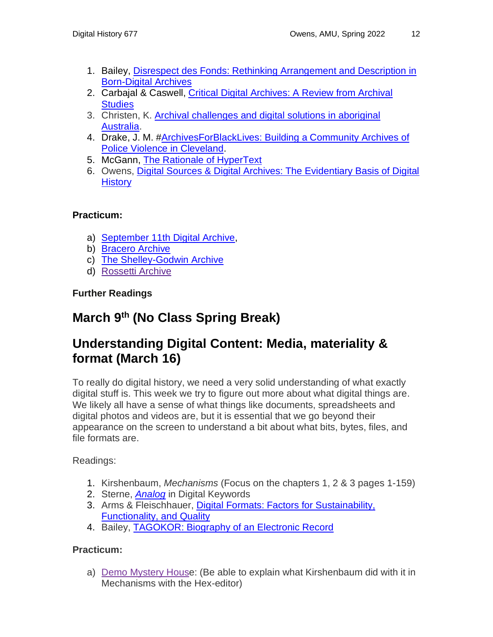- 1. Bailey, Disrespect des Fonds: Rethinking [Arrangement](http://www.archivejournal.net/issue/3/archives-remixed/disrespect-des-fonds-rethinking-arrangement-and-description-in-born-digital-archives/) and Description in [Born-Digital](http://www.archivejournal.net/issue/3/archives-remixed/disrespect-des-fonds-rethinking-arrangement-and-description-in-born-digital-archives/) Archives
- 2. Carbajal & Caswell, Critical Digital [Archives:](https://doi.org/10.1093/ahr/rhab359) A Review from Archival **[Studies](https://doi.org/10.1093/ahr/rhab359)**
- 3. Christen, K. Archival [challenges](http://dev.kimchristen.com/resources/saa_2008.pdf) and digital solutions in aboriginal [Australia.](http://dev.kimchristen.com/resources/saa_2008.pdf)
- 4. Drake, J. M. [#ArchivesForBlackLives:](https://medium.com/on-archivy/expanding-archivesforblacklives-to-traditional-archival-repositories-b88641e2daf6#.6w6jkmgul) Building a Community Archives of Police Violence in [Cleveland.](https://medium.com/on-archivy/expanding-archivesforblacklives-to-traditional-archival-repositories-b88641e2daf6#.6w6jkmgul)
- 5. McGann, The Rationale of [HyperText](http://www2.iath.virginia.edu/public/jjm2f/rationale.html)
- 6. Owens, [Digital Sources & Digital Archives: The Evidentiary Basis of Digital](https://osf.io/preprints/socarxiv/t5rdy/)  **[History](https://osf.io/preprints/socarxiv/t5rdy/)**

#### **Practicum:**

- a) [September](http://911digitalarchive.org/) 11th Digital Archive,
- b) [Bracero](http://braceroarchive.org/about) Archive
- c) The [Shelley-Godwin](http://shelleygodwinarchive.org/) Archive
- d) [Rossetti Archive](http://www.rossettiarchive.org/)

**Further Readings**

## **March 9 th (No Class Spring Break)**

### **Understanding Digital Content: Media, materiality & format (March 16)**

To really do digital history, we need a very solid understanding of what exactly digital stuff is. This week we try to figure out more about what digital things are. We likely all have a sense of what things like documents, spreadsheets and digital photos and videos are, but it is essential that we go beyond their appearance on the screen to understand a bit about what bits, bytes, files, and file formats are.

Readings:

- 1. Kirshenbaum, *Mechanisms* (Focus on the chapters 1, 2 & 3 pages 1-159)
- 2. Sterne, *[Analog](http://culturedigitally.org/wp-content/uploads/2016/07/Sterne-2016-Analog-Digital-Keywords-Peters-ed.pdf)* in Digital Keywords
- 3. Arms & Fleischhauer, [Digital Formats: Factors for Sustainability,](http://memory.loc.gov/ammem/techdocs/digform/Formats_IST05_paper.pdf)  [Functionality, and Quality](http://memory.loc.gov/ammem/techdocs/digform/Formats_IST05_paper.pdf)
- 4. Bailey, [TAGOKOR: Biography of an Electronic Record](http://www.archivejournal.net/issue/4/archives-remixed/tagokor-biography-of-an-electronic-record/)

#### **Practicum:**

a) Demo [Mystery](http://turbulence.org/Works/mystery/games.php) House: (Be able to explain what Kirshenbaum did with it in Mechanisms with the Hex-editor)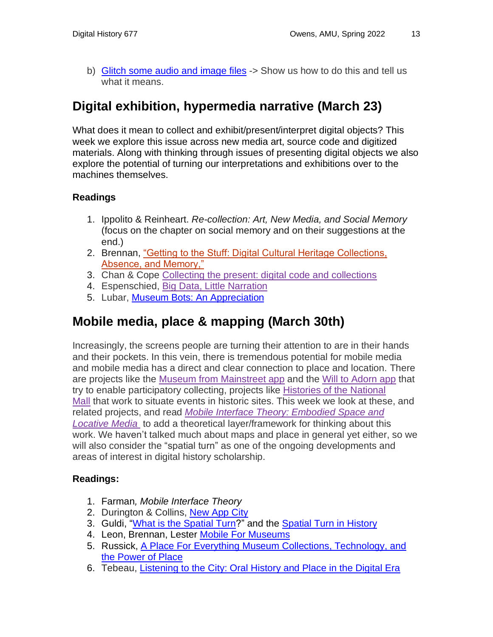b) [Glitch some audio and image files](http://blogs.loc.gov/digitalpreservation/2012/11/glitching-files-for-understanding-avoiding-screen-essentialism-in-three-easy-steps/) -> Show us how to do this and tell us what it means.

## **Digital exhibition, hypermedia narrative (March 23)**

What does it mean to collect and exhibit/present/interpret digital objects? This week we explore this issue across new media art, source code and digitized materials. Along with thinking through issues of presenting digital objects we also explore the potential of turning our interpretations and exhibitions over to the machines themselves.

#### **Readings**

- 1. Ippolito & Reinheart. *Re-collection: Art, New Media, and Social Memory* (focus on the chapter on social memory and on their suggestions at the end.)
- 2. Brennan, ["Getting to the Stuff: Digital Cultural Heritage Collections,](http://www.lotfortynine.org/2012/11/getting-to-the-stuff-digital-cultural-heritage-collections-absence-and-memory/)  [Absence, and Memory,"](http://www.lotfortynine.org/2012/11/getting-to-the-stuff-digital-cultural-heritage-collections-absence-and-memory/)
- 3. Chan & Cope Collecting the present: digital code and [collections](http://mw2014.museumsandtheweb.com/paper/collecting-the-present-digital-code-and-collections/)
- 4. Espenschied, Big Data, Little [Narration](http://rhizome.org/editorial/2014/oct/22/big-data-little-narration/)
- 5. Lubar, [Museum Bots: An](http://stevenlubar.wordpress.com/2014/08/22/museumbots-an-appreciation/) Appreciation

### **Mobile media, place & mapping (March 30th)**

Increasingly, the screens people are turning their attention to are in their hands and their pockets. In this vein, there is tremendous potential for mobile media and mobile media has a direct and clear connection to place and location. There are projects like the Museum from [Mainstreet](http://www.storiesfrommainstreet.org/pages/addyourstory.html) app and the Will to [Adorn](http://www.festival.si.edu/2013/Will_to_Adorn/gettheapp/) app that try to enable participatory collecting, projects like [Histories](http://mallhistory.org/) of the National [Mall](http://mallhistory.org/) that work to situate events in historic sites. This week we look at these, and related projects, and read *Mobile Interface Theory: [Embodied](http://www.amazon.com/Mobile-Interface-Theory-Embodied-Locative/dp/0415878918) Space and [Locative](http://www.amazon.com/Mobile-Interface-Theory-Embodied-Locative/dp/0415878918) Media* to add a theoretical layer/framework for thinking about this work. We haven't talked much about maps and place in general yet either, so we will also consider the "spatial turn" as one of the ongoing developments and areas of interest in digital history scholarship.

#### **Readings:**

- 1. Farman*, Mobile Interface Theory*
- 2. Durington & Collins, [New App City](http://savageminds.org/2014/10/16/new-app-city/)
- 3. Guldi, "What is the [Spatial](http://spatial.scholarslab.org/spatial-turn/what-is-the-spatial-turn/) Turn?" and the Spatial Turn in [History](http://spatial.scholarslab.org/spatial-turn/the-spatial-turn-in-history/index.html)
- 4. Leon, Brennan, Lester Mobile For [Museums](http://chnm.gmu.edu/labs/mobile-for-museums/)
- 5. Russick, A Place For Everything Museum Collections, [Technology,](https://medium.com/@johnrussick64/a-place-for-everything-6bb881c2cbe3) and the [Power](https://medium.com/@johnrussick64/a-place-for-everything-6bb881c2cbe3) of Place
- 6. Tebeau, [Listening to the City: Oral History and Place in the Digital Era](http://muse.jhu.edu/journals/oral_history_review/v040/40.1.tebeau.html)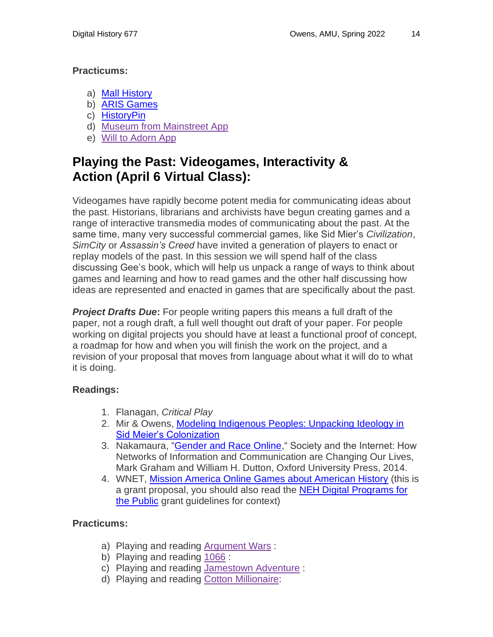#### **Practicums:**

- a) [Mall History](http://mallhistory.org/)
- b) [ARIS Games](http://arisgames.org/)
- c) [HistoryPin](https://www.historypin.org/)
- d) Museum from [Mainstreet](http://www.storiesfrommainstreet.org/pages/addyourstory.html) App
- e) Will to [Adorn](http://www.festival.si.edu/2013/Will_to_Adorn/gettheapp/) App

### **Playing the Past: Videogames, Interactivity & Action (April 6 Virtual Class):**

Videogames have rapidly become potent media for communicating ideas about the past. Historians, librarians and archivists have begun creating games and a range of interactive transmedia modes of communicating about the past. At the same time, many very successful commercial games, like Sid Mier's *Civilization*, *SimCity* or *Assassin's Creed* have invited a generation of players to enact or replay models of the past. In this session we will spend half of the class discussing Gee's book, which will help us unpack a range of ways to think about games and learning and how to read games and the other half discussing how ideas are represented and enacted in games that are specifically about the past.

*Project Drafts Due***:** For people writing papers this means a full draft of the paper, not a rough draft, a full well thought out draft of your paper. For people working on digital projects you should have at least a functional proof of concept, a roadmap for how and when you will finish the work on the project, and a revision of your proposal that moves from language about what it will do to what it is doing.

#### **Readings:**

- 1. Flanagan, *Critical Play*
- 2. Mir & Owens, Modeling Indigenous Peoples: Unpacking Ideology in [Sid Meier's Colonization](http://www.trevorowens.org/wp-content/uploads/2014/12/mir-owens-colonization-proof-2013.pdf)
- 3. Nakamaura, ["Gender and Race Online,](https://lnakamur.files.wordpress.com/2011/01/nakamura-dutton-internet-and-society-anthology-chapter.pdf)" Society and the Internet: How Networks of Information and Communication are Changing Our Lives, Mark Graham and William H. Dutton, Oxford University Press, 2014.
- 4. WNET, [Mission America Online Games about American History](http://www.neh.gov/files/grants/wnet_mission_america_onling_games_about_american_history.pdf) (this is a grant proposal, you should also read the [NEH Digital Programs for](https://www.neh.gov/grants/public/digital-projects-the-public)  [the Public](https://www.neh.gov/grants/public/digital-projects-the-public) grant guidelines for context)

#### **Practicums:**

- a) Playing and reading [Argument](http://www.icivics.org/games/argument-wars?redirect) Wars :
- b) Playing and reading [1066](http://www.channel4.com/history/microsites/0-9/1066/game/) :
- c) Playing and reading [Jamestown](http://www.historyglobe.com/jamestown/) Adventure :
- d) Playing and reading Cotton [Millionaire:](http://www.bbc.co.uk/history/british/victorians/launch_gms_cotton_millionaire.shtml)